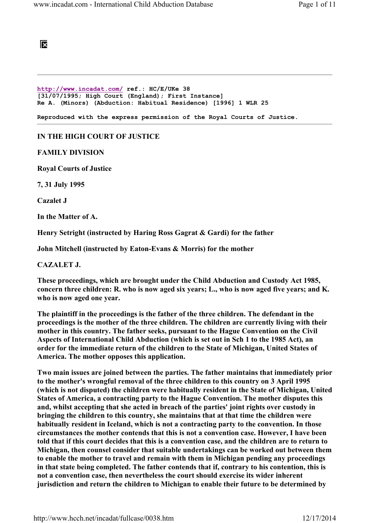## 阪

http://www.incadat.com/ ref.: HC/E/UKe 38 [31/07/1995; High Court (England); First Instance] Re A. (Minors) (Abduction: Habitual Residence) [1996] 1 WLR 25

Reproduced with the express permission of the Royal Courts of Justice.

IN THE HIGH COURT OF JUSTICE

FAMILY DIVISION

Royal Courts of Justice

7, 31 July 1995

Cazalet J

In the Matter of A.

Henry Setright (instructed by Haring Ross Gagrat & Gardi) for the father

John Mitchell (instructed by Eaton-Evans & Morris) for the mother

CAZALET J.

These proceedings, which are brought under the Child Abduction and Custody Act 1985, concern three children: R. who is now aged six years; L., who is now aged five years; and K. who is now aged one year.

The plaintiff in the proceedings is the father of the three children. The defendant in the proceedings is the mother of the three children. The children are currently living with their mother in this country. The father seeks, pursuant to the Hague Convention on the Civil Aspects of International Child Abduction (which is set out in Sch 1 to the 1985 Act), an order for the immediate return of the children to the State of Michigan, United States of America. The mother opposes this application.

Two main issues are joined between the parties. The father maintains that immediately prior to the mother's wrongful removal of the three children to this country on 3 April 1995 (which is not disputed) the children were habitually resident in the State of Michigan, United States of America, a contracting party to the Hague Convention. The mother disputes this and, whilst accepting that she acted in breach of the parties' joint rights over custody in bringing the children to this country, she maintains that at that time the children were habitually resident in Iceland, which is not a contracting party to the convention. In those circumstances the mother contends that this is not a convention case. However, I have been told that if this court decides that this is a convention case, and the children are to return to Michigan, then counsel consider that suitable undertakings can be worked out between them to enable the mother to travel and remain with them in Michigan pending any proceedings in that state being completed. The father contends that if, contrary to his contention, this is not a convention case, then nevertheless the court should exercise its wider inherent jurisdiction and return the children to Michigan to enable their future to be determined by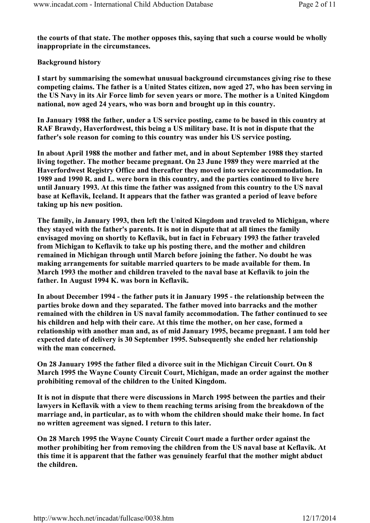the courts of that state. The mother opposes this, saying that such a course would be wholly inappropriate in the circumstances.

## Background history

I start by summarising the somewhat unusual background circumstances giving rise to these competing claims. The father is a United States citizen, now aged 27, who has been serving in the US Navy in its Air Force limb for seven years or more. The mother is a United Kingdom national, now aged 24 years, who was born and brought up in this country.

In January 1988 the father, under a US service posting, came to be based in this country at RAF Brawdy, Haverfordwest, this being a US military base. It is not in dispute that the father's sole reason for coming to this country was under his US service posting.

In about April 1988 the mother and father met, and in about September 1988 they started living together. The mother became pregnant. On 23 June 1989 they were married at the Haverfordwest Registry Office and thereafter they moved into service accommodation. In 1989 and 1990 R. and L. were born in this country, and the parties continued to live here until January 1993. At this time the father was assigned from this country to the US naval base at Keflavik, Iceland. It appears that the father was granted a period of leave before taking up his new position.

The family, in January 1993, then left the United Kingdom and traveled to Michigan, where they stayed with the father's parents. It is not in dispute that at all times the family envisaged moving on shortly to Keflavik, but in fact in February 1993 the father traveled from Michigan to Keflavik to take up his posting there, and the mother and children remained in Michigan through until March before joining the father. No doubt he was making arrangements for suitable married quarters to be made available for them. In March 1993 the mother and children traveled to the naval base at Keflavik to join the father. In August 1994 K. was born in Keflavik.

In about December 1994 - the father puts it in January 1995 - the relationship between the parties broke down and they separated. The father moved into barracks and the mother remained with the children in US naval family accommodation. The father continued to see his children and help with their care. At this time the mother, on her case, formed a relationship with another man and, as of mid January 1995, became pregnant. I am told her expected date of delivery is 30 September 1995. Subsequently she ended her relationship with the man concerned.

On 28 January 1995 the father filed a divorce suit in the Michigan Circuit Court. On 8 March 1995 the Wayne County Circuit Court, Michigan, made an order against the mother prohibiting removal of the children to the United Kingdom.

It is not in dispute that there were discussions in March 1995 between the parties and their lawyers in Keflavik with a view to them reaching terms arising from the breakdown of the marriage and, in particular, as to with whom the children should make their home. In fact no written agreement was signed. I return to this later.

On 28 March 1995 the Wayne County Circuit Court made a further order against the mother prohibiting her from removing the children from the US naval base at Keflavik. At this time it is apparent that the father was genuinely fearful that the mother might abduct the children.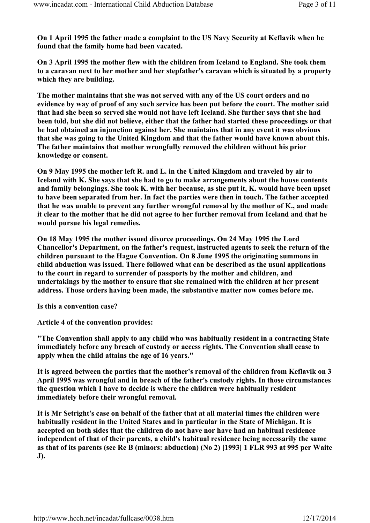On 1 April 1995 the father made a complaint to the US Navy Security at Keflavik when he found that the family home had been vacated.

On 3 April 1995 the mother flew with the children from Iceland to England. She took them to a caravan next to her mother and her stepfather's caravan which is situated by a property which they are building.

The mother maintains that she was not served with any of the US court orders and no evidence by way of proof of any such service has been put before the court. The mother said that had she been so served she would not have left Iceland. She further says that she had been told, but she did not believe, either that the father had started these proceedings or that he had obtained an injunction against her. She maintains that in any event it was obvious that she was going to the United Kingdom and that the father would have known about this. The father maintains that mother wrongfully removed the children without his prior knowledge or consent.

On 9 May 1995 the mother left R. and L. in the United Kingdom and traveled by air to Iceland with K. She says that she had to go to make arrangements about the house contents and family belongings. She took K. with her because, as she put it, K. would have been upset to have been separated from her. In fact the parties were then in touch. The father accepted that he was unable to prevent any further wrongful removal by the mother of K., and made it clear to the mother that he did not agree to her further removal from Iceland and that he would pursue his legal remedies.

On 18 May 1995 the mother issued divorce proceedings. On 24 May 1995 the Lord Chancellor's Department, on the father's request, instructed agents to seek the return of the children pursuant to the Hague Convention. On 8 June 1995 the originating summons in child abduction was issued. There followed what can be described as the usual applications to the court in regard to surrender of passports by the mother and children, and undertakings by the mother to ensure that she remained with the children at her present address. Those orders having been made, the substantive matter now comes before me.

Is this a convention case?

Article 4 of the convention provides:

"The Convention shall apply to any child who was habitually resident in a contracting State immediately before any breach of custody or access rights. The Convention shall cease to apply when the child attains the age of 16 years."

It is agreed between the parties that the mother's removal of the children from Keflavik on 3 April 1995 was wrongful and in breach of the father's custody rights. In those circumstances the question which I have to decide is where the children were habitually resident immediately before their wrongful removal.

It is Mr Setright's case on behalf of the father that at all material times the children were habitually resident in the United States and in particular in the State of Michigan. It is accepted on both sides that the children do not have nor have had an habitual residence independent of that of their parents, a child's habitual residence being necessarily the same as that of its parents (see Re B (minors: abduction) (No 2) [1993] 1 FLR 993 at 995 per Waite J).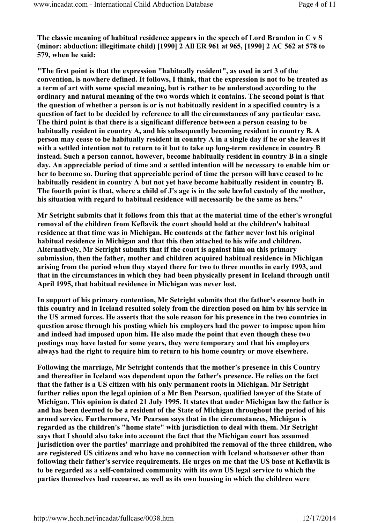The classic meaning of habitual residence appears in the speech of Lord Brandon in C v S (minor: abduction: illegitimate child) [1990] 2 All ER 961 at 965, [1990] 2 AC 562 at 578 to 579, when he said:

"The first point is that the expression "habitually resident", as used in art 3 of the convention, is nowhere defined. It follows, I think, that the expression is not to be treated as a term of art with some special meaning, but is rather to be understood according to the ordinary and natural meaning of the two words which it contains. The second point is that the question of whether a person is or is not habitually resident in a specified country is a question of fact to be decided by reference to all the circumstances of any particular case. The third point is that there is a significant difference between a person ceasing to be habitually resident in country A, and his subsequently becoming resident in country B. A person may cease to be habitually resident in country A in a single day if he or she leaves it with a settled intention not to return to it but to take up long-term residence in country B instead. Such a person cannot, however, become habitually resident in country B in a single day. An appreciable period of time and a settled intention will be necessary to enable him or her to become so. During that appreciable period of time the person will have ceased to be habitually resident in country A but not yet have become habitually resident in country B. The fourth point is that, where a child of J's age is in the sole lawful custody of the mother, his situation with regard to habitual residence will necessarily be the same as hers."

Mr Setright submits that it follows from this that at the material time of the ether's wrongful removal of the children from Keflavik the court should hold at the children's habitual residence at that time was in Michigan. He contends at the father never lost his original habitual residence in Michigan and that this then attached to his wife and children. Alternatively, Mr Setright submits that if the court is against him on this primary submission, then the father, mother and children acquired habitual residence in Michigan arising from the period when they stayed there for two to three months in early 1993, and that in the circumstances in which they had been physically present in Iceland through until April 1995, that habitual residence in Michigan was never lost.

In support of his primary contention, Mr Setright submits that the father's essence both in this country and in Iceland resulted solely from the direction posed on him by his service in the US armed forces. He asserts that the sole reason for his presence in the two countries in question arose through his posting which his employers had the power to impose upon him and indeed had imposed upon him. He also made the point that even though these two postings may have lasted for some years, they were temporary and that his employers always had the right to require him to return to his home country or move elsewhere.

Following the marriage, Mr Setright contends that the mother's presence in this Country and thereafter in Iceland was dependent upon the father's presence. He relies on the fact that the father is a US citizen with his only permanent roots in Michigan. Mr Setright further relies upon the legal opinion of a Mr Ben Pearson, qualified lawyer of the State of Michigan. This opinion is dated 21 July 1995. It states that under Michigan law the father is and has been deemed to be a resident of the State of Michigan throughout the period of his armed service. Furthermore, Mr Pearson says that in the circumstances, Michigan is regarded as the children's "home state" with jurisdiction to deal with them. Mr Setright says that I should also take into account the fact that the Michigan court has assumed jurisdiction over the parties' marriage and prohibited the removal of the three children, who are registered US citizens and who have no connection with Iceland whatsoever other than following their father's service requirements. He urges on me that the US base at Keflavik is to be regarded as a self-contained community with its own US legal service to which the parties themselves had recourse, as well as its own housing in which the children were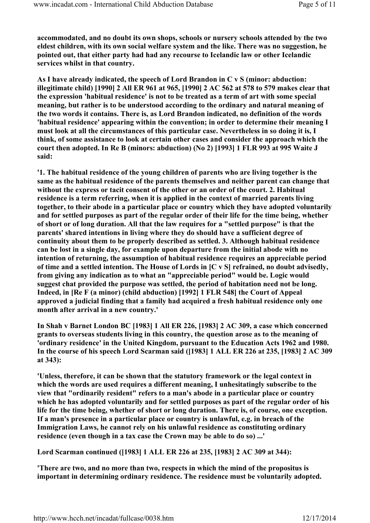accommodated, and no doubt its own shops, schools or nursery schools attended by the two eldest children, with its own social welfare system and the like. There was no suggestion, he pointed out, that either party had had any recourse to Icelandic law or other Icelandic services whilst in that country.

As I have already indicated, the speech of Lord Brandon in C v S (minor: abduction: illegitimate child) [1990] 2 All ER 961 at 965, [1990] 2 AC 562 at 578 to 579 makes clear that the expression 'habitual residence' is not to be treated as a term of art with some special meaning, but rather is to be understood according to the ordinary and natural meaning of the two words it contains. There is, as Lord Brandon indicated, no definition of the words 'habitual residence' appearing within the convention; in order to determine their meaning I must look at all the circumstances of this particular case. Nevertheless in so doing it is, I think, of some assistance to look at certain other cases and consider the approach which the court then adopted. In Re B (minors: abduction) (No 2) [1993] 1 FLR 993 at 995 Waite J said:

'1. The habitual residence of the young children of parents who are living together is the same as the habitual residence of the parents themselves and neither parent can change that without the express or tacit consent of the other or an order of the court. 2. Habitual residence is a term referring, when it is applied in the context of married parents living together, to their abode in a particular place or country which they have adopted voluntarily and for settled purposes as part of the regular order of their life for the time being, whether of short or of long duration. All that the law requires for a "settled purpose" is that the parents' shared intentions in living where they do should have a sufficient degree of continuity about them to be properly described as settled. 3. Although habitual residence can be lost in a single day, for example upon departure from the initial abode with no intention of returning, the assumption of habitual residence requires an appreciable period of time and a settled intention. The House of Lords in [C v S] refrained, no doubt advisedly, from giving any indication as to what an "appreciable period" would be. Logic would suggest chat provided the purpose was settled, the period of habitation need not be long. Indeed, in [Re F (a minor) (child abduction) [1992] 1 FLR 548] the Court of Appeal approved a judicial finding that a family had acquired a fresh habitual residence only one month after arrival in a new country.'

In Shah v Barnet London BC [1983] 1 All ER 226, [1983] 2 AC 309, a case which concerned grants to overseas students living in this country, the question arose as to the meaning of 'ordinary residence' in the United Kingdom, pursuant to the Education Acts 1962 and 1980. In the course of his speech Lord Scarman said ([1983] 1 ALL ER 226 at 235, [1983] 2 AC 309 at 343):

'Unless, therefore, it can be shown that the statutory framework or the legal context in which the words are used requires a different meaning, I unhesitatingly subscribe to the view that "ordinarily resident" refers to a man's abode in a particular place or country which he has adopted voluntarily and for settled purposes as part of the regular order of his life for the time being, whether of short or long duration. There is, of course, one exception. If a man's presence in a particular place or country is unlawful, e.g. in breach of the Immigration Laws, he cannot rely on his unlawful residence as constituting ordinary residence (even though in a tax case the Crown may be able to do so) ...'

Lord Scarman continued ([1983] 1 ALL ER 226 at 235, [1983] 2 AC 309 at 344):

'There are two, and no more than two, respects in which the mind of the propositus is important in determining ordinary residence. The residence must be voluntarily adopted.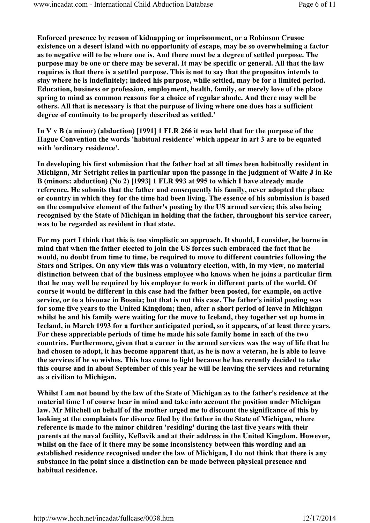Enforced presence by reason of kidnapping or imprisonment, or a Robinson Crusoe existence on a desert island with no opportunity of escape, may be so overwhelming a factor as to negative will to be where one is. And there must be a degree of settled purpose. The purpose may be one or there may be several. It may be specific or general. All that the law requires is that there is a settled purpose. This is not to say that the propositus intends to stay where he is indefinitely; indeed his purpose, while settled, may be for a limited period. Education, business or profession, employment, health, family, or merely love of the place spring to mind as common reasons for a choice of regular abode. And there may well be others. All that is necessary is that the purpose of living where one does has a sufficient degree of continuity to be properly described as settled.'

In V v B (a minor) (abduction) [1991] 1 FLR 266 it was held that for the purpose of the Hague Convention the words 'habitual residence' which appear in art 3 are to be equated with 'ordinary residence'.

In developing his first submission that the father had at all times been habitually resident in Michigan, Mr Setright relies in particular upon the passage in the judgment of Waite J in Re B (minors: abduction) (No 2) [1993] 1 FLR 993 at 995 to which I have already made reference. He submits that the father and consequently his family, never adopted the place or country in which they for the time had been living. The essence of his submission is based on the compulsive element of the father's posting by the US armed service; this also being recognised by the State of Michigan in holding that the father, throughout his service career, was to be regarded as resident in that state.

For my part I think that this is too simplistic an approach. It should, I consider, be borne in mind that when the father elected to join the US forces such embraced the fact that he would, no doubt from time to time, be required to move to different countries following the Stars and Stripes. On any view this was a voluntary election, with, in my view, no material distinction between that of the business employee who knows when he joins a particular firm that he may well be required by his employer to work in different parts of the world. Of course it would be different in this case had the father been posted, for example, on active service, or to a bivouac in Bosnia; but that is not this case. The father's initial posting was for some five years to the United Kingdom; then, after a short period of leave in Michigan whilst he and his family were waiting for the move to Iceland, they together set up home in Iceland, in March 1993 for a further anticipated period, so it appears, of at least three years. For these appreciable periods of time he made his sole family home in each of the two countries. Furthermore, given that a career in the armed services was the way of life that he had chosen to adopt, it has become apparent that, as he is now a veteran, he is able to leave the services if he so wishes. This has come to light because he has recently decided to take this course and in about September of this year he will be leaving the services and returning as a civilian to Michigan.

Whilst I am not bound by the law of the State of Michigan as to the father's residence at the material time I of course bear in mind and take into account the position under Michigan law. Mr Mitchell on behalf of the mother urged me to discount the significance of this by looking at the complaints for divorce filed by the father in the State of Michigan, where reference is made to the minor children 'residing' during the last five years with their parents at the naval facility, Keflavik and at their address in the United Kingdom. However, whilst on the face of it there may be some inconsistency between this wording and an established residence recognised under the law of Michigan, I do not think that there is any substance in the point since a distinction can be made between physical presence and habitual residence.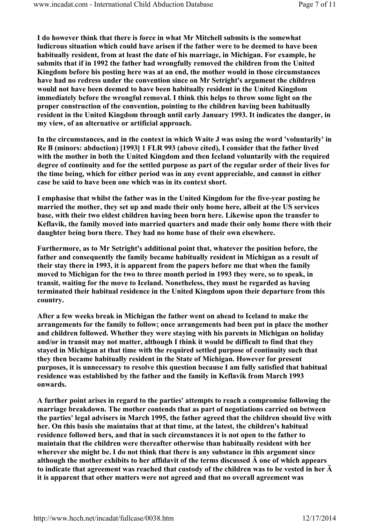I do however think that there is force in what Mr Mitchell submits is the somewhat ludicrous situation which could have arisen if the father were to be deemed to have been habitually resident, from at least the date of his marriage, in Michigan. For example, he submits that if in 1992 the father had wrongfully removed the children from the United Kingdom before his posting here was at an end, the mother would in those circumstances have had no redress under the convention since on Mr Setright's argument the children would not have been deemed to have been habitually resident in the United Kingdom immediately before the wrongful removal. I think this helps to throw some light on the proper construction of the convention, pointing to the children having been habitually resident in the United Kingdom through until early January 1993. It indicates the danger, in my view, of an alternative or artificial approach.

In the circumstances, and in the context in which Waite J was using the word 'voluntarily' in Re B (minors: abduction) [1993] 1 FLR 993 (above cited), I consider that the father lived with the mother in both the United Kingdom and then Iceland voluntarily with the required degree of continuity and for the settled purpose as part of the regular order of their lives for the time being, which for either period was in any event appreciable, and cannot in either case be said to have been one which was in its context short.

I emphasise that whilst the father was in the United Kingdom for the five-year posting he married the mother, they set up and made their only home here, albeit at the US services base, with their two eldest children having been born here. Likewise upon the transfer to Keflavik, the family moved into married quarters and made their only home there with their daughter being born there. They had no home base of their own elsewhere.

Furthermore, as to Mr Setright's additional point that, whatever the position before, the father and consequently the family became habitually resident in Michigan as a result of their stay there in 1993, it is apparent from the papers before me that when the family moved to Michigan for the two to three month period in 1993 they were, so to speak, in transit, waiting for the move to Iceland. Nonetheless, they must be regarded as having terminated their habitual residence in the United Kingdom upon their departure from this country.

After a few weeks break in Michigan the father went on ahead to Iceland to make the arrangements for the family to follow; once arrangements had been put in place the mother and children followed. Whether they were staying with his parents in Michigan on holiday and/or in transit may not matter, although I think it would be difficult to find that they stayed in Michigan at that time with the required settled purpose of continuity such that they then became habitually resident in the State of Michigan. However for present purposes, it is unnecessary to resolve this question because I am fully satisfied that habitual residence was established by the father and the family in Keflavik from March 1993 onwards.

A further point arises in regard to the parties' attempts to reach a compromise following the marriage breakdown. The mother contends that as part of negotiations carried on between the parties' legal advisers in March 1995, the father agreed that the children should live with her. On this basis she maintains that at that time, at the latest, the children's habitual residence followed hers, and that in such circumstances it is not open to the father to maintain that the children were thereafter otherwise than habitually resident with her wherever she might be. I do not think that there is any substance in this argument since although the mother exhibits to her affidavit of the terms discussed Ä one of which appears to indicate that agreement was reached that custody of the children was to be vested in her  $\tilde{A}$ it is apparent that other matters were not agreed and that no overall agreement was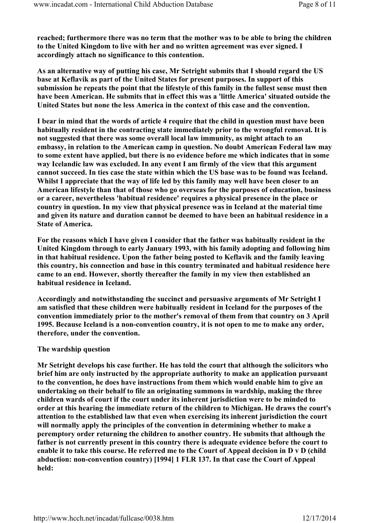reached; furthermore there was no term that the mother was to be able to bring the children to the United Kingdom to live with her and no written agreement was ever signed. I accordingly attach no significance to this contention.

As an alternative way of putting his case, Mr Setright submits that I should regard the US base at Keflavik as part of the United States for present purposes. In support of this submission he repeats the point that the lifestyle of this family in the fullest sense must then have been American. He submits that in effect this was a 'little America' situated outside the United States but none the less America in the context of this case and the convention.

I bear in mind that the words of article 4 require that the child in question must have been habitually resident in the contracting state immediately prior to the wrongful removal. It is not suggested that there was some overall local law immunity, as might attach to an embassy, in relation to the American camp in question. No doubt American Federal law may to some extent have applied, but there is no evidence before me which indicates that in some way Icelandic law was excluded. In any event I am firmly of the view that this argument cannot succeed. In ties case the state within which the US base was to be found was Iceland. Whilst I appreciate that the way of life led by this family may well have been closer to an American lifestyle than that of those who go overseas for the purposes of education, business or a career, nevertheless 'habitual residence' requires a physical presence in the place or country in question. In my view that physical presence was in Iceland at the material time and given its nature and duration cannot be deemed to have been an habitual residence in a State of America.

For the reasons which I have given I consider that the father was habitually resident in the United Kingdom through to early January 1993, with his family adopting and following him in that habitual residence. Upon the father being posted to Keflavik and the family leaving this country, his connection and base in this country terminated and habitual residence here came to an end. However, shortly thereafter the family in my view then established an habitual residence in Iceland.

Accordingly and notwithstanding the succinct and persuasive arguments of Mr Setright I am satisfied that these children were habitually resident in Iceland for the purposes of the convention immediately prior to the mother's removal of them from that country on 3 April 1995. Because Iceland is a non-convention country, it is not open to me to make any order, therefore, under the convention.

## The wardship question

Mr Setright develops his case further. He has told the court that although the solicitors who brief him are only instructed by the appropriate authority to make an application pursuant to the convention, he does have instructions from them which would enable him to give an undertaking on their behalf to file an originating summons in wardship, making the three children wards of court if the court under its inherent jurisdiction were to be minded to order at this hearing the immediate return of the children to Michigan. He draws the court's attention to the established law that even when exercising its inherent jurisdiction the court will normally apply the principles of the convention in determining whether to make a peremptory order returning the children to another country. He submits that although the father is not currently present in this country there is adequate evidence before the court to enable it to take this course. He referred me to the Court of Appeal decision in D v D (child abduction: non-convention country) [1994] 1 FLR 137. In that case the Court of Appeal held: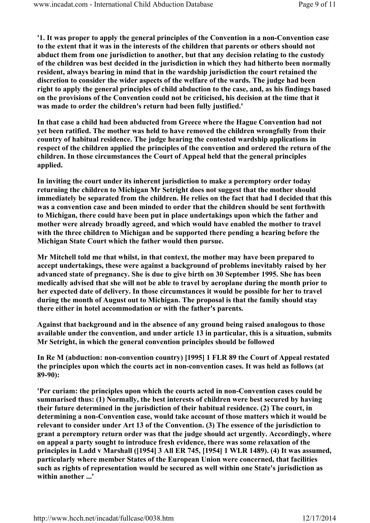'1. It was proper to apply the general principles of the Convention in a non-Convention case to the extent that it was in the interests of the children that parents or others should not abduct them from one jurisdiction to another, but that any decision relating to the custody of the children was best decided in the jurisdiction in which they had hitherto been normally resident, always bearing in mind that in the wardship jurisdiction the court retained the discretion to consider the wider aspects of the welfare of the wards. The judge had been right to apply the general principles of child abduction to the case, and, as his findings based on the provisions of the Convention could not be criticised, his decision at the time that it was made to order the children's return had been fully justified.'

In that case a child had been abducted from Greece where the Hague Convention had not yet been ratified. The mother was held to have removed the children wrongfully from their country of habitual residence. The judge hearing the contested wardship applications in respect of the children applied the principles of the convention and ordered the return of the children. In those circumstances the Court of Appeal held that the general principles applied.

In inviting the court under its inherent jurisdiction to make a peremptory order today returning the children to Michigan Mr Setright does not suggest that the mother should immediately be separated from the children. He relies on the fact that had I decided that this was a convention case and been minded to order that the children should be sent forthwith to Michigan, there could have been put in place undertakings upon which the father and mother were already broadly agreed, and which would have enabled the mother to travel with the three children to Michigan and be supported there pending a hearing before the Michigan State Court which the father would then pursue.

Mr Mitchell told me that whilst, in that context, the mother may have been prepared to accept undertakings, these were against a background of problems inevitably raised by her advanced state of pregnancy. She is due to give birth on 30 September 1995. She has been medically advised that she will not be able to travel by aeroplane during the month prior to her expected date of delivery. In those circumstances it would be possible for her to travel during the month of August out to Michigan. The proposal is that the family should stay there either in hotel accommodation or with the father's parents.

Against that background and in the absence of any ground being raised analogous to those available under the convention, and under article 13 in particular, this is a situation, submits Mr Setright, in which the general convention principles should be followed

In Re M (abduction: non-convention country) [1995] 1 FLR 89 the Court of Appeal restated the principles upon which the courts act in non-convention cases. It was held as follows (at 89-90):

'Per curiam: the principles upon which the courts acted in non-Convention cases could be summarised thus: (1) Normally, the best interests of children were best secured by having their future determined in the jurisdiction of their habitual residence. (2) The court, in determining a non-Convention case, would take account of those matters which it would be relevant to consider under Art 13 of the Convention. (3) The essence of the jurisdiction to grant a peremptory return order was that the judge should act urgently. Accordingly, where on appeal a party sought to introduce fresh evidence, there was some relaxation of the principles in Ladd v Marshall ([1954] 3 All ER 745, [1954] 1 WLR 1489). (4) It was assumed, particularly where member States of the European Union were concerned, that facilities such as rights of representation would be secured as well within one State's jurisdiction as within another ...'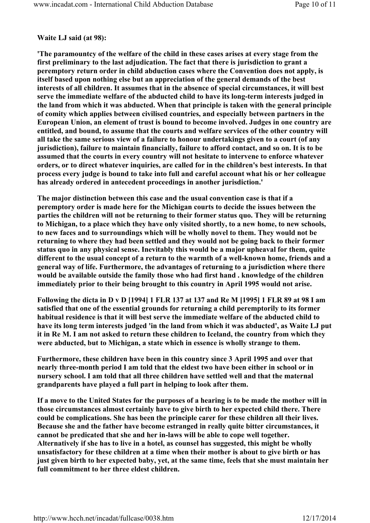## Waite LJ said (at 98):

'The paramountcy of the welfare of the child in these cases arises at every stage from the first preliminary to the last adjudication. The fact that there is jurisdiction to grant a peremptory return order in child abduction cases where the Convention does not apply, is itself based upon nothing else but an appreciation of the general demands of the best interests of all children. It assumes that in the absence of special circumstances, it will best serve the immediate welfare of the abducted child to have its long-term interests judged in the land from which it was abducted. When that principle is taken with the general principle of comity which applies between civilised countries, and especially between partners in the European Union, an element of trust is bound to become involved. Judges in one country are entitled, and bound, to assume that the courts and welfare services of the other country will all take the same serious view of a failure to honour undertakings given to a court (of any jurisdiction), failure to maintain financially, failure to afford contact, and so on. It is to be assumed that the courts in every country will not hesitate to intervene to enforce whatever orders, or to direct whatever inquiries, are called for in the children's best interests. In that process every judge is bound to take into full and careful account what his or her colleague has already ordered in antecedent proceedings in another jurisdiction.'

The major distinction between this case and the usual convention case is that if a peremptory order is made here for the Michigan courts to decide the issues between the parties the children will not be returning to their former status quo. They will be returning to Michigan, to a place which they have only visited shortly, to a new home, to new schools, to new faces and to surroundings which will be wholly novel to them. They would not be returning to where they had been settled and they would not be going back to their former status quo in any physical sense. Inevitably this would be a major upheaval for them, quite different to the usual concept of a return to the warmth of a well-known home, friends and a general way of life. Furthermore, the advantages of returning to a jurisdiction where there would be available outside the family those who had first hand . knowledge of the children immediately prior to their being brought to this country in April 1995 would not arise.

Following the dicta in D v D [1994] 1 FLR 137 at 137 and Re M [1995] 1 FLR 89 at 98 I am satisfied that one of the essential grounds for returning a child peremptorily to its former habitual residence is that it will best serve the immediate welfare of the abducted child to have its long term interests judged 'in the land from which it was abducted', as Waite LJ put it in Re M. I am not asked to return these children to Iceland, the country from which they were abducted, but to Michigan, a state which in essence is wholly strange to them.

Furthermore, these children have been in this country since 3 April 1995 and over that nearly three-month period I am told that the eldest two have been either in school or in nursery school. I am told that all three children have settled well and that the maternal grandparents have played a full part in helping to look after them.

If a move to the United States for the purposes of a hearing is to be made the mother will in those circumstances almost certainly have to give birth to her expected child there. There could be complications. She has been the principle carer for these children all their lives. Because she and the father have become estranged in really quite bitter circumstances, it cannot be predicated that she and her in-laws will be able to cope well together. Alternatively if she has to live in a hotel, as counsel has suggested, this might be wholly unsatisfactory for these children at a time when their mother is about to give birth or has just given birth to her expected baby, yet, at the same time, feels that she must maintain her full commitment to her three eldest children.